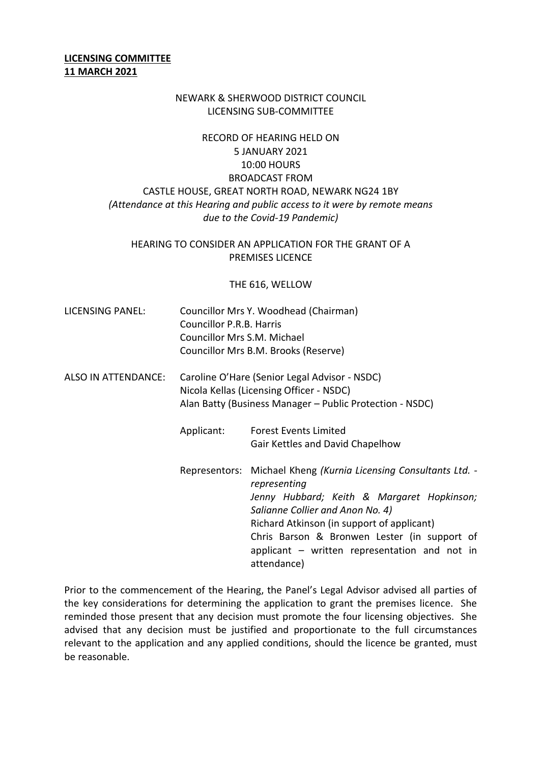### **LICENSING COMMITTEE 11 MARCH 2021**

#### NEWARK & SHERWOOD DISTRICT COUNCIL LICENSING SUB-COMMITTEE

# RECORD OF HEARING HELD ON 5 JANUARY 2021 10:00 HOURS BROADCAST FROM CASTLE HOUSE, GREAT NORTH ROAD, NEWARK NG24 1BY *(Attendance at this Hearing and public access to it were by remote means due to the Covid-19 Pandemic)*

## HEARING TO CONSIDER AN APPLICATION FOR THE GRANT OF A PREMISES LICENCE

#### THE 616, WELLOW

- LICENSING PANEL: Councillor Mrs Y. Woodhead (Chairman) Councillor P.R.B. Harris Councillor Mrs S.M. Michael Councillor Mrs B.M. Brooks (Reserve)
- ALSO IN ATTENDANCE: Caroline O'Hare (Senior Legal Advisor NSDC) Nicola Kellas (Licensing Officer - NSDC) Alan Batty (Business Manager – Public Protection - NSDC)
	- Applicant: Forest Events Limited Gair Kettles and David Chapelhow
	- Representors: Michael Kheng *(Kurnia Licensing Consultants Ltd. representing Jenny Hubbard; Keith & Margaret Hopkinson; Salianne Collier and Anon No. 4)* Richard Atkinson (in support of applicant) Chris Barson & Bronwen Lester (in support of applicant – written representation and not in attendance)

Prior to the commencement of the Hearing, the Panel's Legal Advisor advised all parties of the key considerations for determining the application to grant the premises licence. She reminded those present that any decision must promote the four licensing objectives. She advised that any decision must be justified and proportionate to the full circumstances relevant to the application and any applied conditions, should the licence be granted, must be reasonable.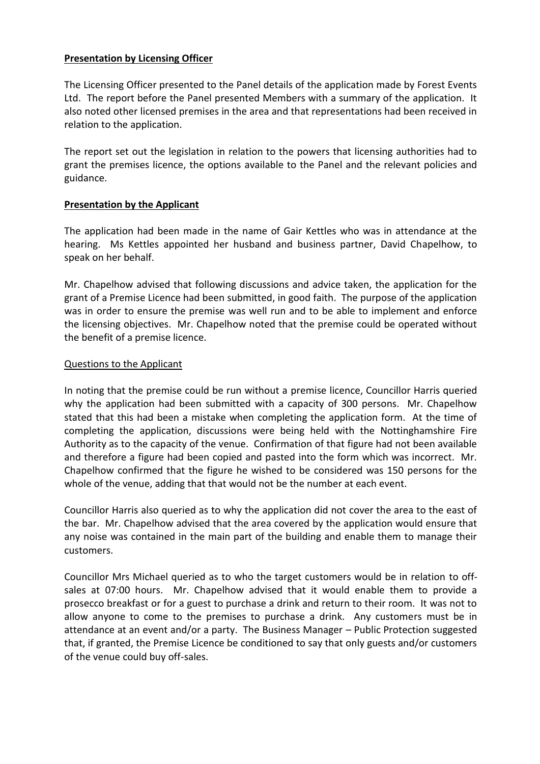## **Presentation by Licensing Officer**

The Licensing Officer presented to the Panel details of the application made by Forest Events Ltd. The report before the Panel presented Members with a summary of the application. It also noted other licensed premises in the area and that representations had been received in relation to the application.

The report set out the legislation in relation to the powers that licensing authorities had to grant the premises licence, the options available to the Panel and the relevant policies and guidance.

## **Presentation by the Applicant**

The application had been made in the name of Gair Kettles who was in attendance at the hearing. Ms Kettles appointed her husband and business partner, David Chapelhow, to speak on her behalf.

Mr. Chapelhow advised that following discussions and advice taken, the application for the grant of a Premise Licence had been submitted, in good faith. The purpose of the application was in order to ensure the premise was well run and to be able to implement and enforce the licensing objectives. Mr. Chapelhow noted that the premise could be operated without the benefit of a premise licence.

## Questions to the Applicant

In noting that the premise could be run without a premise licence, Councillor Harris queried why the application had been submitted with a capacity of 300 persons. Mr. Chapelhow stated that this had been a mistake when completing the application form. At the time of completing the application, discussions were being held with the Nottinghamshire Fire Authority as to the capacity of the venue. Confirmation of that figure had not been available and therefore a figure had been copied and pasted into the form which was incorrect. Mr. Chapelhow confirmed that the figure he wished to be considered was 150 persons for the whole of the venue, adding that that would not be the number at each event.

Councillor Harris also queried as to why the application did not cover the area to the east of the bar. Mr. Chapelhow advised that the area covered by the application would ensure that any noise was contained in the main part of the building and enable them to manage their customers.

Councillor Mrs Michael queried as to who the target customers would be in relation to offsales at 07:00 hours. Mr. Chapelhow advised that it would enable them to provide a prosecco breakfast or for a guest to purchase a drink and return to their room. It was not to allow anyone to come to the premises to purchase a drink. Any customers must be in attendance at an event and/or a party. The Business Manager – Public Protection suggested that, if granted, the Premise Licence be conditioned to say that only guests and/or customers of the venue could buy off-sales.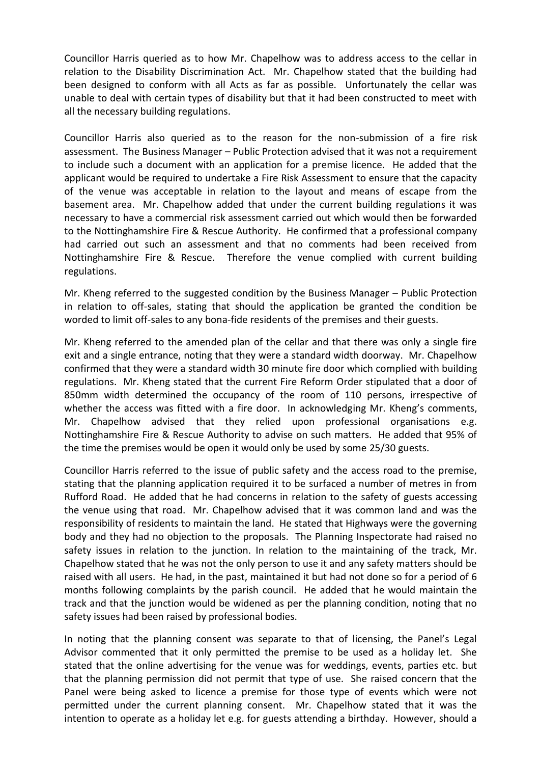Councillor Harris queried as to how Mr. Chapelhow was to address access to the cellar in relation to the Disability Discrimination Act. Mr. Chapelhow stated that the building had been designed to conform with all Acts as far as possible. Unfortunately the cellar was unable to deal with certain types of disability but that it had been constructed to meet with all the necessary building regulations.

Councillor Harris also queried as to the reason for the non-submission of a fire risk assessment. The Business Manager – Public Protection advised that it was not a requirement to include such a document with an application for a premise licence. He added that the applicant would be required to undertake a Fire Risk Assessment to ensure that the capacity of the venue was acceptable in relation to the layout and means of escape from the basement area. Mr. Chapelhow added that under the current building regulations it was necessary to have a commercial risk assessment carried out which would then be forwarded to the Nottinghamshire Fire & Rescue Authority. He confirmed that a professional company had carried out such an assessment and that no comments had been received from Nottinghamshire Fire & Rescue. Therefore the venue complied with current building regulations.

Mr. Kheng referred to the suggested condition by the Business Manager – Public Protection in relation to off-sales, stating that should the application be granted the condition be worded to limit off-sales to any bona-fide residents of the premises and their guests.

Mr. Kheng referred to the amended plan of the cellar and that there was only a single fire exit and a single entrance, noting that they were a standard width doorway. Mr. Chapelhow confirmed that they were a standard width 30 minute fire door which complied with building regulations. Mr. Kheng stated that the current Fire Reform Order stipulated that a door of 850mm width determined the occupancy of the room of 110 persons, irrespective of whether the access was fitted with a fire door. In acknowledging Mr. Kheng's comments, Mr. Chapelhow advised that they relied upon professional organisations e.g. Nottinghamshire Fire & Rescue Authority to advise on such matters. He added that 95% of the time the premises would be open it would only be used by some 25/30 guests.

Councillor Harris referred to the issue of public safety and the access road to the premise, stating that the planning application required it to be surfaced a number of metres in from Rufford Road. He added that he had concerns in relation to the safety of guests accessing the venue using that road. Mr. Chapelhow advised that it was common land and was the responsibility of residents to maintain the land. He stated that Highways were the governing body and they had no objection to the proposals. The Planning Inspectorate had raised no safety issues in relation to the junction. In relation to the maintaining of the track, Mr. Chapelhow stated that he was not the only person to use it and any safety matters should be raised with all users. He had, in the past, maintained it but had not done so for a period of 6 months following complaints by the parish council. He added that he would maintain the track and that the junction would be widened as per the planning condition, noting that no safety issues had been raised by professional bodies.

In noting that the planning consent was separate to that of licensing, the Panel's Legal Advisor commented that it only permitted the premise to be used as a holiday let. She stated that the online advertising for the venue was for weddings, events, parties etc. but that the planning permission did not permit that type of use. She raised concern that the Panel were being asked to licence a premise for those type of events which were not permitted under the current planning consent. Mr. Chapelhow stated that it was the intention to operate as a holiday let e.g. for guests attending a birthday. However, should a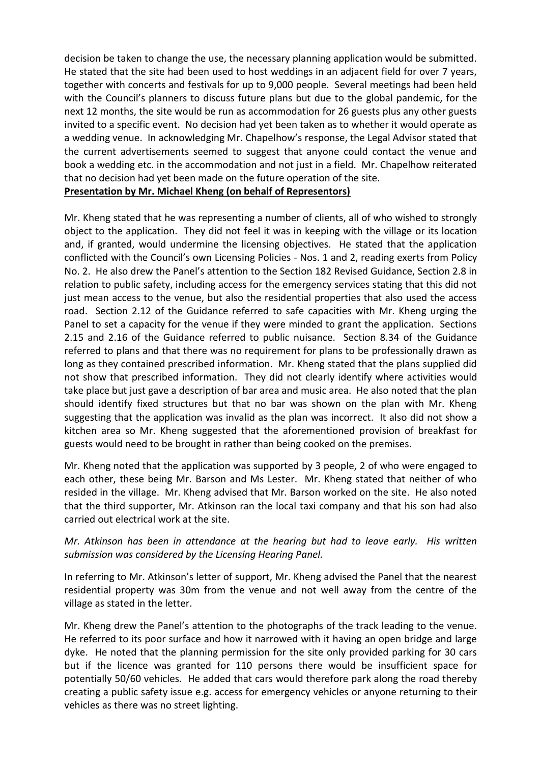decision be taken to change the use, the necessary planning application would be submitted. He stated that the site had been used to host weddings in an adjacent field for over 7 years, together with concerts and festivals for up to 9,000 people. Several meetings had been held with the Council's planners to discuss future plans but due to the global pandemic, for the next 12 months, the site would be run as accommodation for 26 guests plus any other guests invited to a specific event. No decision had yet been taken as to whether it would operate as a wedding venue. In acknowledging Mr. Chapelhow's response, the Legal Advisor stated that the current advertisements seemed to suggest that anyone could contact the venue and book a wedding etc. in the accommodation and not just in a field. Mr. Chapelhow reiterated that no decision had yet been made on the future operation of the site. **Presentation by Mr. Michael Kheng (on behalf of Representors)**

Mr. Kheng stated that he was representing a number of clients, all of who wished to strongly object to the application. They did not feel it was in keeping with the village or its location and, if granted, would undermine the licensing objectives. He stated that the application conflicted with the Council's own Licensing Policies - Nos. 1 and 2, reading exerts from Policy No. 2. He also drew the Panel's attention to the Section 182 Revised Guidance, Section 2.8 in relation to public safety, including access for the emergency services stating that this did not just mean access to the venue, but also the residential properties that also used the access road. Section 2.12 of the Guidance referred to safe capacities with Mr. Kheng urging the Panel to set a capacity for the venue if they were minded to grant the application. Sections 2.15 and 2.16 of the Guidance referred to public nuisance. Section 8.34 of the Guidance referred to plans and that there was no requirement for plans to be professionally drawn as long as they contained prescribed information. Mr. Kheng stated that the plans supplied did not show that prescribed information. They did not clearly identify where activities would take place but just gave a description of bar area and music area. He also noted that the plan should identify fixed structures but that no bar was shown on the plan with Mr. Kheng suggesting that the application was invalid as the plan was incorrect. It also did not show a kitchen area so Mr. Kheng suggested that the aforementioned provision of breakfast for guests would need to be brought in rather than being cooked on the premises.

Mr. Kheng noted that the application was supported by 3 people, 2 of who were engaged to each other, these being Mr. Barson and Ms Lester. Mr. Kheng stated that neither of who resided in the village. Mr. Kheng advised that Mr. Barson worked on the site. He also noted that the third supporter, Mr. Atkinson ran the local taxi company and that his son had also carried out electrical work at the site.

## *Mr. Atkinson has been in attendance at the hearing but had to leave early. His written submission was considered by the Licensing Hearing Panel.*

In referring to Mr. Atkinson's letter of support, Mr. Kheng advised the Panel that the nearest residential property was 30m from the venue and not well away from the centre of the village as stated in the letter.

Mr. Kheng drew the Panel's attention to the photographs of the track leading to the venue. He referred to its poor surface and how it narrowed with it having an open bridge and large dyke. He noted that the planning permission for the site only provided parking for 30 cars but if the licence was granted for 110 persons there would be insufficient space for potentially 50/60 vehicles. He added that cars would therefore park along the road thereby creating a public safety issue e.g. access for emergency vehicles or anyone returning to their vehicles as there was no street lighting.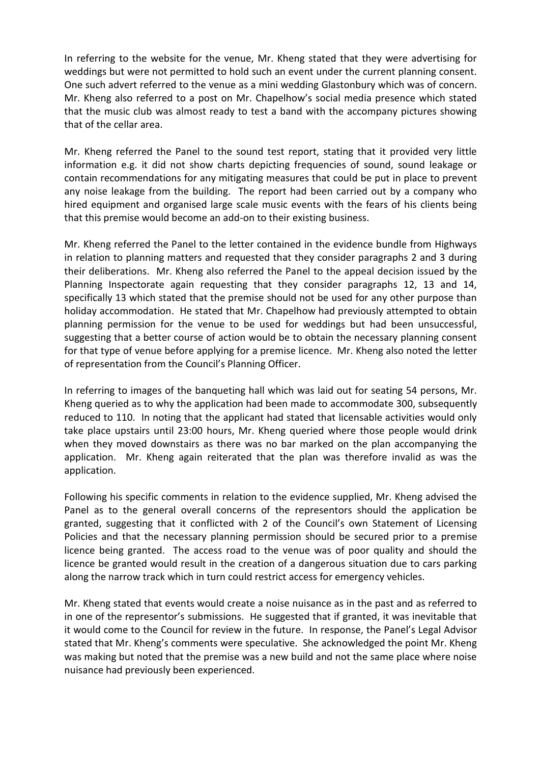In referring to the website for the venue, Mr. Kheng stated that they were advertising for weddings but were not permitted to hold such an event under the current planning consent. One such advert referred to the venue as a mini wedding Glastonbury which was of concern. Mr. Kheng also referred to a post on Mr. Chapelhow's social media presence which stated that the music club was almost ready to test a band with the accompany pictures showing that of the cellar area.

Mr. Kheng referred the Panel to the sound test report, stating that it provided very little information e.g. it did not show charts depicting frequencies of sound, sound leakage or contain recommendations for any mitigating measures that could be put in place to prevent any noise leakage from the building. The report had been carried out by a company who hired equipment and organised large scale music events with the fears of his clients being that this premise would become an add-on to their existing business.

Mr. Kheng referred the Panel to the letter contained in the evidence bundle from Highways in relation to planning matters and requested that they consider paragraphs 2 and 3 during their deliberations. Mr. Kheng also referred the Panel to the appeal decision issued by the Planning Inspectorate again requesting that they consider paragraphs 12, 13 and 14, specifically 13 which stated that the premise should not be used for any other purpose than holiday accommodation. He stated that Mr. Chapelhow had previously attempted to obtain planning permission for the venue to be used for weddings but had been unsuccessful, suggesting that a better course of action would be to obtain the necessary planning consent for that type of venue before applying for a premise licence. Mr. Kheng also noted the letter of representation from the Council's Planning Officer.

In referring to images of the banqueting hall which was laid out for seating 54 persons, Mr. Kheng queried as to why the application had been made to accommodate 300, subsequently reduced to 110. In noting that the applicant had stated that licensable activities would only take place upstairs until 23:00 hours, Mr. Kheng queried where those people would drink when they moved downstairs as there was no bar marked on the plan accompanying the application. Mr. Kheng again reiterated that the plan was therefore invalid as was the application.

Following his specific comments in relation to the evidence supplied, Mr. Kheng advised the Panel as to the general overall concerns of the representors should the application be granted, suggesting that it conflicted with 2 of the Council's own Statement of Licensing Policies and that the necessary planning permission should be secured prior to a premise licence being granted. The access road to the venue was of poor quality and should the licence be granted would result in the creation of a dangerous situation due to cars parking along the narrow track which in turn could restrict access for emergency vehicles.

Mr. Kheng stated that events would create a noise nuisance as in the past and as referred to in one of the representor's submissions. He suggested that if granted, it was inevitable that it would come to the Council for review in the future. In response, the Panel's Legal Advisor stated that Mr. Kheng's comments were speculative. She acknowledged the point Mr. Kheng was making but noted that the premise was a new build and not the same place where noise nuisance had previously been experienced.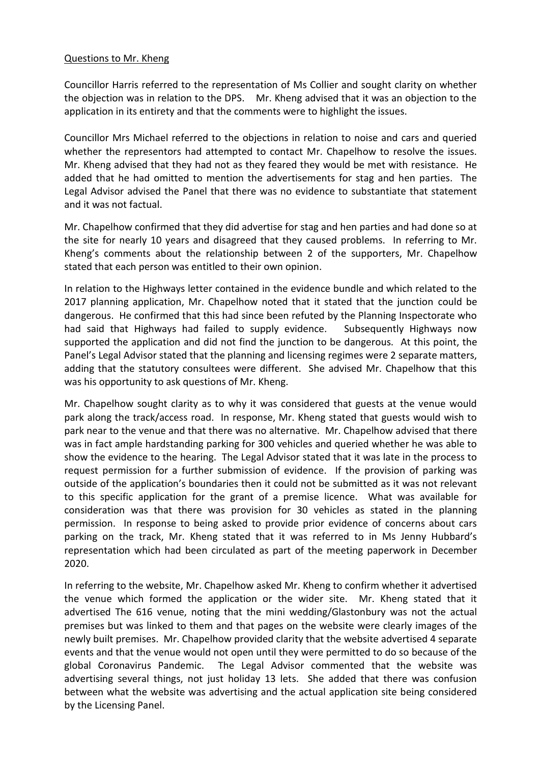#### Questions to Mr. Kheng

Councillor Harris referred to the representation of Ms Collier and sought clarity on whether the objection was in relation to the DPS. Mr. Kheng advised that it was an objection to the application in its entirety and that the comments were to highlight the issues.

Councillor Mrs Michael referred to the objections in relation to noise and cars and queried whether the representors had attempted to contact Mr. Chapelhow to resolve the issues. Mr. Kheng advised that they had not as they feared they would be met with resistance. He added that he had omitted to mention the advertisements for stag and hen parties. The Legal Advisor advised the Panel that there was no evidence to substantiate that statement and it was not factual.

Mr. Chapelhow confirmed that they did advertise for stag and hen parties and had done so at the site for nearly 10 years and disagreed that they caused problems. In referring to Mr. Kheng's comments about the relationship between 2 of the supporters, Mr. Chapelhow stated that each person was entitled to their own opinion.

In relation to the Highways letter contained in the evidence bundle and which related to the 2017 planning application, Mr. Chapelhow noted that it stated that the junction could be dangerous. He confirmed that this had since been refuted by the Planning Inspectorate who had said that Highways had failed to supply evidence. Subsequently Highways now supported the application and did not find the junction to be dangerous. At this point, the Panel's Legal Advisor stated that the planning and licensing regimes were 2 separate matters, adding that the statutory consultees were different. She advised Mr. Chapelhow that this was his opportunity to ask questions of Mr. Kheng.

Mr. Chapelhow sought clarity as to why it was considered that guests at the venue would park along the track/access road. In response, Mr. Kheng stated that guests would wish to park near to the venue and that there was no alternative. Mr. Chapelhow advised that there was in fact ample hardstanding parking for 300 vehicles and queried whether he was able to show the evidence to the hearing. The Legal Advisor stated that it was late in the process to request permission for a further submission of evidence. If the provision of parking was outside of the application's boundaries then it could not be submitted as it was not relevant to this specific application for the grant of a premise licence. What was available for consideration was that there was provision for 30 vehicles as stated in the planning permission. In response to being asked to provide prior evidence of concerns about cars parking on the track, Mr. Kheng stated that it was referred to in Ms Jenny Hubbard's representation which had been circulated as part of the meeting paperwork in December 2020.

In referring to the website, Mr. Chapelhow asked Mr. Kheng to confirm whether it advertised the venue which formed the application or the wider site. Mr. Kheng stated that it advertised The 616 venue, noting that the mini wedding/Glastonbury was not the actual premises but was linked to them and that pages on the website were clearly images of the newly built premises. Mr. Chapelhow provided clarity that the website advertised 4 separate events and that the venue would not open until they were permitted to do so because of the global Coronavirus Pandemic. The Legal Advisor commented that the website was advertising several things, not just holiday 13 lets. She added that there was confusion between what the website was advertising and the actual application site being considered by the Licensing Panel.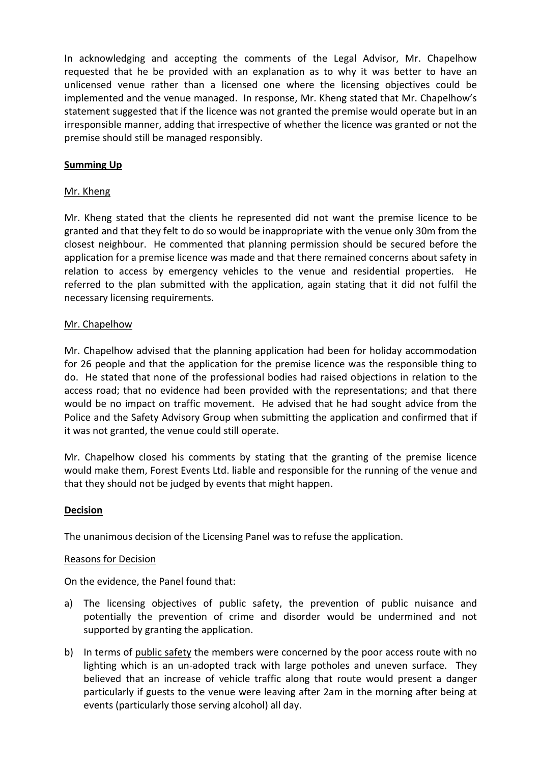In acknowledging and accepting the comments of the Legal Advisor, Mr. Chapelhow requested that he be provided with an explanation as to why it was better to have an unlicensed venue rather than a licensed one where the licensing objectives could be implemented and the venue managed. In response, Mr. Kheng stated that Mr. Chapelhow's statement suggested that if the licence was not granted the premise would operate but in an irresponsible manner, adding that irrespective of whether the licence was granted or not the premise should still be managed responsibly.

# **Summing Up**

## Mr. Kheng

Mr. Kheng stated that the clients he represented did not want the premise licence to be granted and that they felt to do so would be inappropriate with the venue only 30m from the closest neighbour. He commented that planning permission should be secured before the application for a premise licence was made and that there remained concerns about safety in relation to access by emergency vehicles to the venue and residential properties. He referred to the plan submitted with the application, again stating that it did not fulfil the necessary licensing requirements.

## Mr. Chapelhow

Mr. Chapelhow advised that the planning application had been for holiday accommodation for 26 people and that the application for the premise licence was the responsible thing to do. He stated that none of the professional bodies had raised objections in relation to the access road; that no evidence had been provided with the representations; and that there would be no impact on traffic movement. He advised that he had sought advice from the Police and the Safety Advisory Group when submitting the application and confirmed that if it was not granted, the venue could still operate.

Mr. Chapelhow closed his comments by stating that the granting of the premise licence would make them, Forest Events Ltd. liable and responsible for the running of the venue and that they should not be judged by events that might happen.

## **Decision**

The unanimous decision of the Licensing Panel was to refuse the application.

#### Reasons for Decision

On the evidence, the Panel found that:

- a) The licensing objectives of public safety, the prevention of public nuisance and potentially the prevention of crime and disorder would be undermined and not supported by granting the application.
- b) In terms of public safety the members were concerned by the poor access route with no lighting which is an un-adopted track with large potholes and uneven surface. They believed that an increase of vehicle traffic along that route would present a danger particularly if guests to the venue were leaving after 2am in the morning after being at events (particularly those serving alcohol) all day.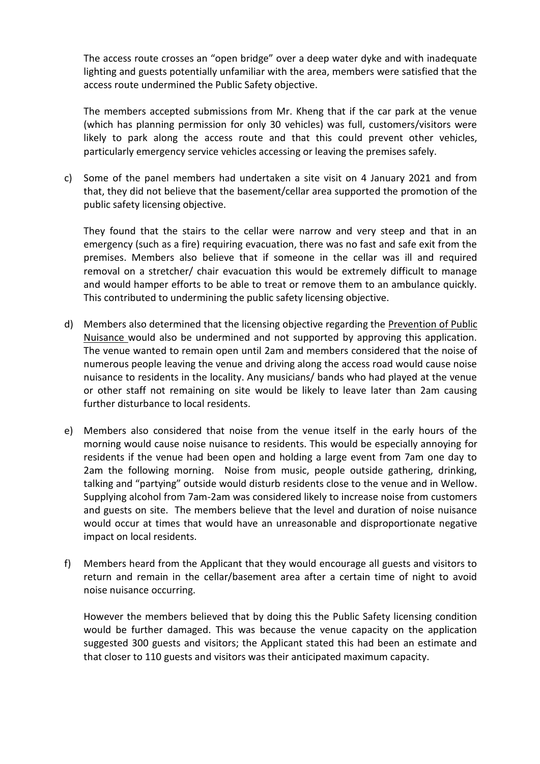The access route crosses an "open bridge" over a deep water dyke and with inadequate lighting and guests potentially unfamiliar with the area, members were satisfied that the access route undermined the Public Safety objective.

The members accepted submissions from Mr. Kheng that if the car park at the venue (which has planning permission for only 30 vehicles) was full, customers/visitors were likely to park along the access route and that this could prevent other vehicles, particularly emergency service vehicles accessing or leaving the premises safely.

c) Some of the panel members had undertaken a site visit on 4 January 2021 and from that, they did not believe that the basement/cellar area supported the promotion of the public safety licensing objective.

They found that the stairs to the cellar were narrow and very steep and that in an emergency (such as a fire) requiring evacuation, there was no fast and safe exit from the premises. Members also believe that if someone in the cellar was ill and required removal on a stretcher/ chair evacuation this would be extremely difficult to manage and would hamper efforts to be able to treat or remove them to an ambulance quickly. This contributed to undermining the public safety licensing objective.

- d) Members also determined that the licensing objective regarding the Prevention of Public Nuisance would also be undermined and not supported by approving this application. The venue wanted to remain open until 2am and members considered that the noise of numerous people leaving the venue and driving along the access road would cause noise nuisance to residents in the locality. Any musicians/ bands who had played at the venue or other staff not remaining on site would be likely to leave later than 2am causing further disturbance to local residents.
- e) Members also considered that noise from the venue itself in the early hours of the morning would cause noise nuisance to residents. This would be especially annoying for residents if the venue had been open and holding a large event from 7am one day to 2am the following morning. Noise from music, people outside gathering, drinking, talking and "partying" outside would disturb residents close to the venue and in Wellow. Supplying alcohol from 7am-2am was considered likely to increase noise from customers and guests on site. The members believe that the level and duration of noise nuisance would occur at times that would have an unreasonable and disproportionate negative impact on local residents.
- f) Members heard from the Applicant that they would encourage all guests and visitors to return and remain in the cellar/basement area after a certain time of night to avoid noise nuisance occurring.

However the members believed that by doing this the Public Safety licensing condition would be further damaged. This was because the venue capacity on the application suggested 300 guests and visitors; the Applicant stated this had been an estimate and that closer to 110 guests and visitors was their anticipated maximum capacity.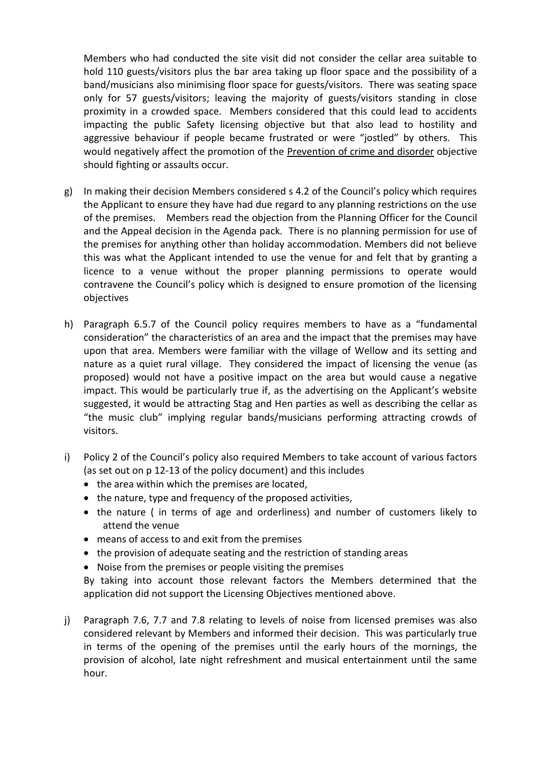Members who had conducted the site visit did not consider the cellar area suitable to hold 110 guests/visitors plus the bar area taking up floor space and the possibility of a band/musicians also minimising floor space for guests/visitors. There was seating space only for 57 guests/visitors; leaving the majority of guests/visitors standing in close proximity in a crowded space. Members considered that this could lead to accidents impacting the public Safety licensing objective but that also lead to hostility and aggressive behaviour if people became frustrated or were "jostled" by others. This would negatively affect the promotion of the Prevention of crime and disorder objective should fighting or assaults occur.

- g) In making their decision Members considered s 4.2 of the Council's policy which requires the Applicant to ensure they have had due regard to any planning restrictions on the use of the premises. Members read the objection from the Planning Officer for the Council and the Appeal decision in the Agenda pack. There is no planning permission for use of the premises for anything other than holiday accommodation. Members did not believe this was what the Applicant intended to use the venue for and felt that by granting a licence to a venue without the proper planning permissions to operate would contravene the Council's policy which is designed to ensure promotion of the licensing objectives
- h) Paragraph 6.5.7 of the Council policy requires members to have as a "fundamental consideration" the characteristics of an area and the impact that the premises may have upon that area. Members were familiar with the village of Wellow and its setting and nature as a quiet rural village. They considered the impact of licensing the venue (as proposed) would not have a positive impact on the area but would cause a negative impact. This would be particularly true if, as the advertising on the Applicant's website suggested, it would be attracting Stag and Hen parties as well as describing the cellar as "the music club" implying regular bands/musicians performing attracting crowds of visitors.
- i) Policy 2 of the Council's policy also required Members to take account of various factors (as set out on p 12-13 of the policy document) and this includes
	- $\bullet$  the area within which the premises are located,
	- the nature, type and frequency of the proposed activities,
	- the nature ( in terms of age and orderliness) and number of customers likely to attend the venue
	- means of access to and exit from the premises
	- the provision of adequate seating and the restriction of standing areas
	- Noise from the premises or people visiting the premises

By taking into account those relevant factors the Members determined that the application did not support the Licensing Objectives mentioned above.

j) Paragraph 7.6, 7.7 and 7.8 relating to levels of noise from licensed premises was also considered relevant by Members and informed their decision. This was particularly true in terms of the opening of the premises until the early hours of the mornings, the provision of alcohol, late night refreshment and musical entertainment until the same hour.